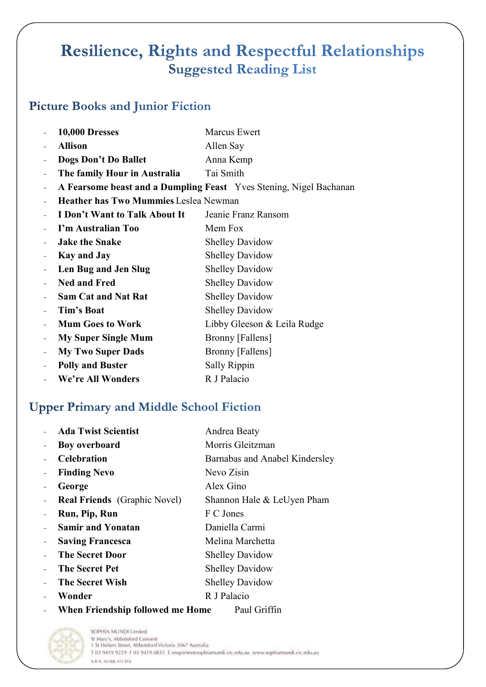# **Resilience, Rights and Respectful Relationships Suggested Reading List**

**Marcus Ewert** 

## **Picture Books and Junior Fiction**

**10,000 Dresses** 

| <b>Allison</b>                               | Allen Say                                                          |
|----------------------------------------------|--------------------------------------------------------------------|
| Dogs Don't Do Ballet                         | Anna Kemp                                                          |
| The family Hour in Australia                 | Tai Smith                                                          |
|                                              | A Fearsome beast and a Dumpling Feast Yves Stening, Nigel Bachanan |
| <b>Heather has Two Mummies Leslea Newman</b> |                                                                    |
| I Don't Want to Talk About It                | Jeanie Franz Ransom                                                |
| I'm Australian Too                           | Mem Fox                                                            |
| <b>Jake the Snake</b>                        | <b>Shelley Davidow</b>                                             |
| <b>Kay and Jay</b>                           | <b>Shelley Davidow</b>                                             |
| Len Bug and Jen Slug                         | <b>Shelley Davidow</b>                                             |
| <b>Ned and Fred</b>                          | <b>Shelley Davidow</b>                                             |
| <b>Sam Cat and Nat Rat</b>                   | <b>Shelley Davidow</b>                                             |
| Tim's Boat                                   | <b>Shelley Davidow</b>                                             |
| <b>Mum Goes to Work</b>                      | Libby Gleeson & Leila Rudge                                        |
| <b>My Super Single Mum</b>                   | Bronny [Fallens]                                                   |
| <b>My Two Super Dads</b>                     | Bronny [Fallens]                                                   |
| <b>Polly and Buster</b>                      | Sally Rippin                                                       |
| We're All Wonders                            | R J Palacio                                                        |
|                                              |                                                                    |

## **Upper Primary and Middle School Fiction**

| <b>Ada Twist Scientist</b>          | Andrea Beaty                   |
|-------------------------------------|--------------------------------|
| <b>Boy overboard</b>                | Morris Gleitzman               |
| <b>Celebration</b>                  | Barnabas and Anabel Kindersley |
| <b>Finding Nevo</b>                 | Nevo Zisin                     |
| George                              | Alex Gino                      |
| <b>Real Friends</b> (Graphic Novel) | Shannon Hale & LeUyen Pham     |
| Run, Pip, Run                       | F C Jones                      |
| <b>Samir and Yonatan</b>            | Daniella Carmi                 |
| <b>Saving Francesca</b>             | Melina Marchetta               |
| <b>The Secret Door</b>              | <b>Shelley Davidow</b>         |
| <b>The Secret Pet</b>               | <b>Shelley Davidow</b>         |
| <b>The Secret Wish</b>              | <b>Shelley Davidow</b>         |
| Wonder                              | R J Palacio                    |
| When Friendship followed me Home    | Paul Griffin                   |



SOPHIA MUNDI Limited St Mary's, Abbotsford Convent 1 St Heliers Street, Abbotsford Victoria 3067 Australia T 03 9419 9229 F 03 9419 0835 E enquiries@sophiamundi.vic.edu.au www.sophiamundi.vic.edu.au A.R.N. 44 006 411 016